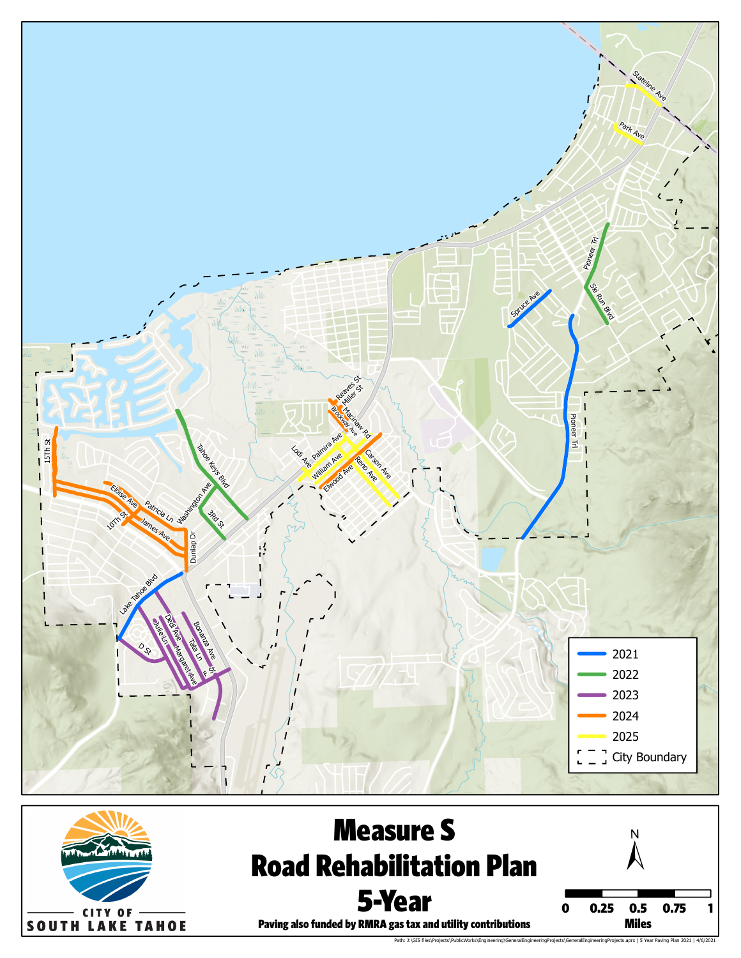



Paving Plan 2021 | 4/6/2021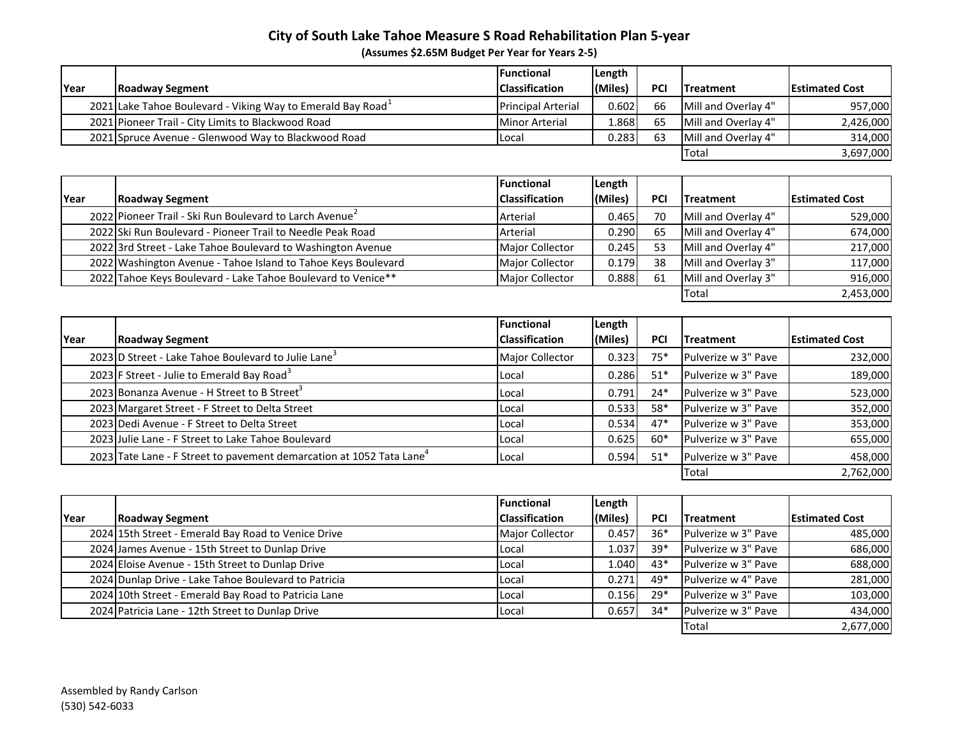## **City of South Lake Tahoe Measure S Road Rehabilitation Plan 5‐year**

**(Assumes \$2.65M Budget Per Year for Years 2‐5)**

|              |                                                                         | <b>Functional</b>         | Length  |     |                            |                       |
|--------------|-------------------------------------------------------------------------|---------------------------|---------|-----|----------------------------|-----------------------|
| <b>IYear</b> | Roadway Segment                                                         | <b>Classification</b>     | (Miles) | PCI | <b>Treatment</b>           | <b>Estimated Cost</b> |
|              | 2021 Lake Tahoe Boulevard - Viking Way to Emerald Bay Road <sup>+</sup> | <b>Principal Arterial</b> | 0.6021  | 66  | Mill and Overlay 4"        | 957,000               |
|              | 2021 Pioneer Trail - City Limits to Blackwood Road                      | <b>Minor Arterial</b>     | 1.868   | 65  | Mill and Overlay 4"        | 2,426,000             |
|              | 2021 Spruce Avenue - Glenwood Way to Blackwood Road                     | Local                     | 0.283   | 63  | <b>Mill and Overlay 4"</b> | 314,000               |
|              |                                                                         |                           |         |     | <b>Total</b>               | 3,697,000             |

|      |                                                               | <b>IFunctional</b>     | Length  |     |                     |                       |
|------|---------------------------------------------------------------|------------------------|---------|-----|---------------------|-----------------------|
| Year | <b>Roadway Segment</b>                                        | <b>Classification</b>  | (Miles) | PCI | <b>Treatment</b>    | <b>Estimated Cost</b> |
|      | 2022 Pioneer Trail - Ski Run Boulevard to Larch Avenue        | Arterial               | 0.465   | 70  | Mill and Overlay 4" | 529,000               |
|      | 2022 Ski Run Boulevard - Pioneer Trail to Needle Peak Road    | Arterial               | 0.290   | 65  | Mill and Overlay 4" | 674,000               |
|      | 2022 3rd Street - Lake Tahoe Boulevard to Washington Avenue   | <b>Major Collector</b> | 0.245   | 53  | Mill and Overlay 4" | 217,000               |
|      | 2022 Washington Avenue - Tahoe Island to Tahoe Keys Boulevard | <b>Major Collector</b> | 0.179   | 38  | Mill and Overlay 3" | 117,000               |
|      | 2022 Tahoe Keys Boulevard - Lake Tahoe Boulevard to Venice**  | <b>Major Collector</b> | 0.888   | 61  | Mill and Overlay 3" | 916,000               |
|      |                                                               |                        |         |     | <b>Total</b>        | 2,453,000             |

|      |                                                                                  | <b>Functional</b>      | Length  |            |                     |                       |
|------|----------------------------------------------------------------------------------|------------------------|---------|------------|---------------------|-----------------------|
| Year | <b>Roadway Segment</b>                                                           | <b>Classification</b>  | (Miles) | <b>PCI</b> | Treatment           | <b>Estimated Cost</b> |
|      | 2023 D Street - Lake Tahoe Boulevard to Julie Lane <sup>3</sup>                  | <b>Major Collector</b> | 0.323   | $75*$      | Pulverize w 3" Pave | 232,000               |
|      | 2023 F Street - Julie to Emerald Bay Road <sup>3</sup>                           | Local                  | 0.286   | $51*$      | Pulverize w 3" Pave | 189,000               |
|      | 2023 Bonanza Avenue - H Street to B Street <sup>3</sup>                          | Local                  | 0.791   | $24*$      | Pulverize w 3" Pave | 523,000               |
|      | 2023 Margaret Street - F Street to Delta Street                                  | Local                  | 0.533   | 58*        | Pulverize w 3" Pave | 352,000               |
|      | 2023 Dedi Avenue - F Street to Delta Street                                      | Local                  | 0.534   | $47*$      | Pulverize w 3" Pave | 353,000               |
|      | 2023 Julie Lane - F Street to Lake Tahoe Boulevard                               | Local                  | 0.625   | $60*$      | Pulverize w 3" Pave | 655,000               |
|      | 2023 Tate Lane - F Street to pavement demarcation at 1052 Tata Lane <sup>4</sup> | Local                  | 0.594   | $51*$      | Pulverize w 3" Pave | 458,000               |
|      |                                                                                  |                        |         |            | Total               | 2,762,000             |

|             |                                                      | <b>Functional</b>      | Length  |            |                     |                       |
|-------------|------------------------------------------------------|------------------------|---------|------------|---------------------|-----------------------|
| <b>Year</b> | Roadway Segment                                      | <b>Classification</b>  | (Miles) | <b>PCI</b> | <b>Treatment</b>    | <b>Estimated Cost</b> |
|             | 2024 15th Street - Emerald Bay Road to Venice Drive  | <b>Major Collector</b> | 0.457   | $36*$      | Pulverize w 3" Pave | 485,000               |
|             | 2024 James Avenue - 15th Street to Dunlap Drive      | Local                  | 1.037   | $39*$      | Pulverize w 3" Pave | 686,000               |
|             | 2024 Eloise Avenue - 15th Street to Dunlap Drive     | Local                  | 1.040   | $43*$      | Pulverize w 3" Pave | 688,000               |
|             | 2024 Dunlap Drive - Lake Tahoe Boulevard to Patricia | Local                  | 0.271   | 49*        | Pulverize w 4" Pave | 281,000               |
|             | 2024 10th Street - Emerald Bay Road to Patricia Lane | Local                  | 0.156   | $29*$      | Pulverize w 3" Pave | 103,000               |
|             | 2024 Patricia Lane - 12th Street to Dunlap Drive     | Local                  | 0.657   | $34*$      | Pulverize w 3" Pave | 434,000               |
|             |                                                      |                        |         |            | <b>Total</b>        | 2,677,000             |